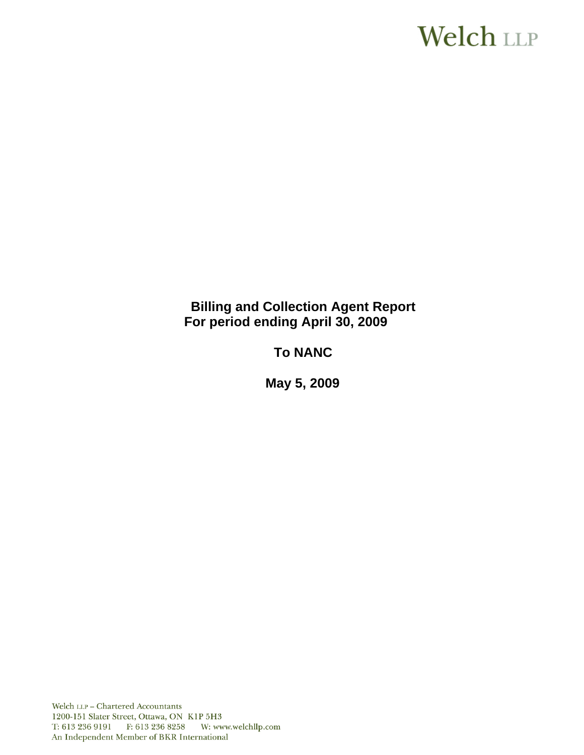# **Welch LLP**

# **Billing and Collection Agent Report For period ending April 30, 2009**

# **To NANC**

 **May 5, 2009**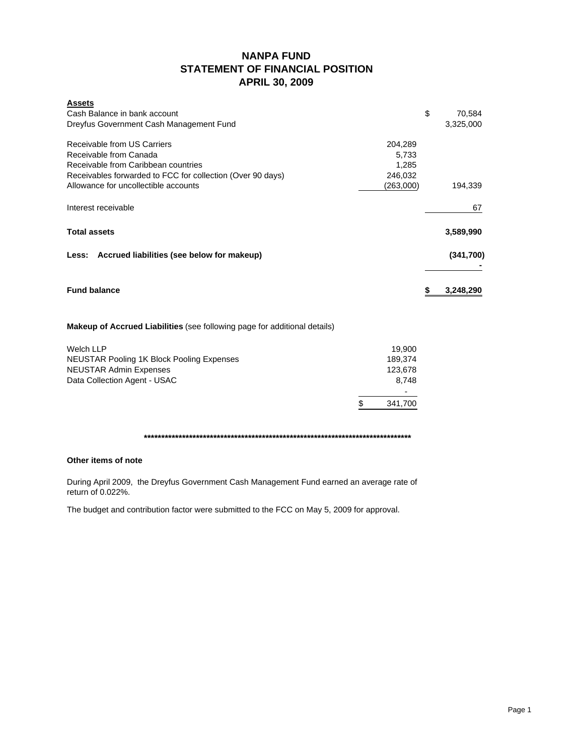# **NANPA FUND STATEMENT OF FINANCIAL POSITION APRIL 30, 2009**

| <b>Assets</b><br>Cash Balance in bank account<br>Dreyfus Government Cash Management Fund                                                                                                           |                                                   | \$ | 70,584<br>3.325.000 |
|----------------------------------------------------------------------------------------------------------------------------------------------------------------------------------------------------|---------------------------------------------------|----|---------------------|
| Receivable from US Carriers<br>Receivable from Canada<br>Receivable from Caribbean countries<br>Receivables forwarded to FCC for collection (Over 90 days)<br>Allowance for uncollectible accounts | 204,289<br>5,733<br>1,285<br>246,032<br>(263,000) |    | 194,339             |
|                                                                                                                                                                                                    |                                                   |    |                     |
| Interest receivable                                                                                                                                                                                |                                                   |    | 67                  |
| <b>Total assets</b>                                                                                                                                                                                |                                                   |    | 3,589,990           |
| Less: Accrued liabilities (see below for makeup)                                                                                                                                                   |                                                   |    | (341,700)           |
|                                                                                                                                                                                                    |                                                   |    |                     |
| <b>Fund balance</b>                                                                                                                                                                                |                                                   | S  | 3,248,290           |
| <b>Makeup of Accrued Liabilities</b> (see following page for additional details)                                                                                                                   |                                                   |    |                     |
| <b>Welch LLP</b>                                                                                                                                                                                   | 19,900                                            |    |                     |
| <b>NEUSTAR Pooling 1K Block Pooling Expenses</b>                                                                                                                                                   | 189,374                                           |    |                     |
| <b>NEUSTAR Admin Expenses</b>                                                                                                                                                                      | 123,678                                           |    |                     |
| Data Collection Agent - USAC                                                                                                                                                                       | 8,748                                             |    |                     |
|                                                                                                                                                                                                    |                                                   |    |                     |
|                                                                                                                                                                                                    | \$<br>341.700                                     |    |                     |

**\*\*\*\*\*\*\*\*\*\*\*\*\*\*\*\*\*\*\*\*\*\*\*\*\*\*\*\*\*\*\*\*\*\*\*\*\*\*\*\*\*\*\*\*\*\*\*\*\*\*\*\*\*\*\*\*\*\*\*\*\*\*\*\*\*\*\*\*\*\*\*\*\*\*\*\*\***

### **Other items of note**

During April 2009, the Dreyfus Government Cash Management Fund earned an average rate of return of 0.022%.

The budget and contribution factor were submitted to the FCC on May 5, 2009 for approval.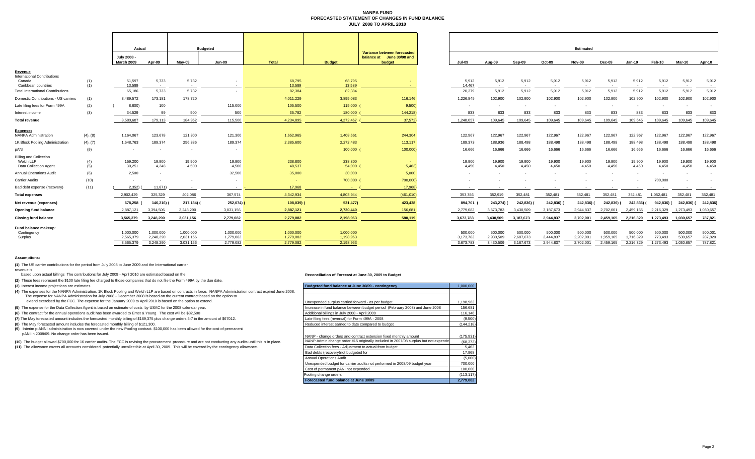#### **NANPA FUND FORECASTED STATEMENT OF CHANGES IN FUND BALANCE JULY 2008 TO APRIL 2010**

|                                          |            | Actual                    |                          |            | <b>Budgeted</b> |                  |                |                                                                    |                          |            |                  |                 | Estimated       |           |               |                 |            |                          |
|------------------------------------------|------------|---------------------------|--------------------------|------------|-----------------|------------------|----------------|--------------------------------------------------------------------|--------------------------|------------|------------------|-----------------|-----------------|-----------|---------------|-----------------|------------|--------------------------|
|                                          |            | July 2008 -<br>March 2009 | Apr-09                   | $May-09$   | <b>Jun-09</b>   | <b>Total</b>     | <b>Budget</b>  | Variance between forecasted<br>balance at June 30/08 and<br>budget | <b>Jul-09</b>            | Aug-09     | Sep-09           | Oct-09          | Nov-09          | Dec-09    | <b>Jan-10</b> | Feb-10          | Mar-10     | Apr-10                   |
| Revenue                                  |            |                           |                          |            |                 |                  |                |                                                                    |                          |            |                  |                 |                 |           |               |                 |            |                          |
| <b>International Contributions</b>       |            | 51,597                    | 5,733                    | 5,732      |                 |                  | 68,795         |                                                                    | 5,912                    | 5,912      | 5,912            |                 |                 | 5,912     | 5,912         |                 | 5,912      |                          |
| Canada<br>Caribbean countries            | (1)<br>(1) | 13.589                    | $\sim$                   | $\sim$     | $\sim$          | 68,795<br>13,589 | 13,589         | <b>Contract</b>                                                    | 14.467                   | $\sim$ $-$ | $\sim$ 100 $\mu$ | 5,912<br>$\sim$ | 5,912<br>$\sim$ | $\sim$    | $\sim$ $-$    | 5,912<br>$\sim$ | $\sim$     | 5,912<br>$\sim$          |
| <b>Total International Contributions</b> |            | 65,186                    | 5,733                    | 5,732      |                 | 82,384           | 82,384         |                                                                    | 20,379                   | 5,912      | 5,912            | 5,912           | 5,912           | 5,912     | 5,912         | 5,912           | 5,912      | 5,912                    |
| Domestic Contributions - US carriers     | (1)        | 3,489,572                 | 173,181                  | 178,720    |                 | 4,011,229        | 3,895,083      | 116,146                                                            | 1,226,845                | 102,900    | 102,900          | 102,900         | 102,900         | 102,900   | 102,900       | 102.900         | 102,900    | 102,900                  |
| Late filing fees for Form 499A           | (2)        | 8,600)                    | 100                      |            | 115,000         | 105,500          | 115,000        | 9,500                                                              | $\overline{\phantom{a}}$ |            | $\sim$           |                 |                 |           | $\sim$        |                 |            | $\overline{\phantom{a}}$ |
|                                          |            | 34,529                    | 99                       | 500        | 500             | 35,782           | 180,000        | 144,218)                                                           | 833                      |            |                  | 833             | 833             |           |               | 833             | 833        | 833                      |
| Interest income                          | (3)        |                           |                          |            |                 |                  |                |                                                                    |                          | 833        | 833              |                 |                 | 833       | 833           |                 |            |                          |
| <b>Total revenue</b>                     |            | 3.580.687                 | 179,113                  | 184,952    | 115,500         | 4,234,895        | 4,272,467      | 37,572)                                                            | 1.248.057                | 109,645    | 109.645          | 109,645         | 109.645         | 109.645   | 109,645       | 109.645         | 109,645    | 109,645                  |
| <b>Expenses</b>                          |            |                           |                          |            |                 |                  |                |                                                                    |                          |            |                  |                 |                 |           |               |                 |            |                          |
| NANPA Administration                     | (4), (8)   | 1,164,067                 | 123,678                  | 121,300    | 121,300         | 1,652,965        | 1,408,661      | 244,304                                                            | 122,967                  | 122,967    | 122,967          | 122,967         | 122,967         | 122,967   | 122,967       | 122,967         | 122,967    | 122,967                  |
| 1K Block Pooling Administration          | (4), (7)   | 1,548,763                 | 189,374                  | 256,386    | 189,374         | 2,385,600        | 2,272,483      | 113,117                                                            | 189,373                  | 188,936    | 188,498          | 188,498         | 188,498         | 188,498   | 188,498       | 188,498         | 188,498    | 188,498                  |
| pANI                                     | (9)        | $\sim$                    | $\overline{\phantom{a}}$ |            | $\sim$          |                  | 100,000 (      | 100,000)                                                           | 16,666                   | 16,666     | 16,666           | 16,666          | 16,666          | 16,666    | 16,666        | 16,666          | 16,666     | 16,666                   |
| <b>Billing and Collection</b>            |            |                           |                          |            |                 |                  |                |                                                                    |                          |            |                  |                 |                 |           |               |                 |            |                          |
| Welch LLP                                | (4)        | 159,200                   | 19,900                   | 19,900     | 19,900          | 238,800          | 238,800        | <b>Contract</b>                                                    | 19,900                   | 19,900     | 19,900           | 19,900          | 19,900          | 19,900    | 19,900        | 19,900          | 19,900     | 19,900                   |
| Data Collection Agent                    | (5)        | 30,251                    | 4.248                    | 4,500      | 4,500           | 48,537           | $54,000$ (     | 5,463                                                              | 4,450                    | 4,450      | 4,450            | 4.450           | 4.450           | 4,450     | 4,450         | 4.450           | 4,450      | 4.450                    |
| <b>Annual Operations Audit</b>           | (6)        | 2,500                     | $\sim$                   |            | 32,500          | 35,000           | 30,000         | 5,000                                                              | $\overline{\phantom{a}}$ |            |                  |                 |                 |           |               |                 |            |                          |
| <b>Carrier Audits</b>                    | (10)       | $\sim$                    | $\overline{\phantom{a}}$ |            | $\sim$          |                  | 700,000        | 700,000)                                                           |                          |            |                  |                 |                 |           |               | 700,000         |            |                          |
| Bad debt expense (recovery)              | (11)       | 2.352                     | 11.871)                  |            | $\sim$          | 17,968           | <b>Service</b> | 17.968)                                                            |                          |            |                  |                 |                 |           |               |                 | $\sim$     |                          |
| <b>Total expenses</b>                    |            | 2.902.429                 | 325.329                  | 402,086    | 367.574         | 4.342.934        | 4,803,944      | (461, 010)                                                         | 353,356                  | 352,919    | 352.481          | 352,481         | 352.481         | 352.481   | 352.481       | 1.052.481       | 352.481    | 352,48'                  |
| Net revenue (expenses)                   |            | 678,258                   | 146,216)                 | 217,134) ( | 252,074)        | 108,039          | 531,477)       | 423,438                                                            | 894,701                  | 243,274)   | 242,836)         | 242,836)        | 242,836)        | 242,836)  | 242,836)      | 942.836)        | 242,836) ( | 242,836                  |
| Opening fund balance                     |            | 2,887,121                 | 3.394.506                | 3,248,290  | 3,031,156       | 2,887,121        | 2,730,440      | 156,681                                                            | 2,779,082                | 3,673,783  | 3.430.509        | 3,187,673       | 2.944.837       | 2,702,001 | 2,459,165     | 2,216,329       | 1,273,493  | 1,030,657                |
| <b>Closing fund balance</b>              |            | 3,565,379                 | 3,248,290                | 3,031,156  | 2,779,082       | 2,779,082        | 2,198,963      | 580,119                                                            | 3,673,783                | 3,430,509  | 3,187,673        | 2,944,837       | 2,702,001       | 2,459,165 | 2,216,329     | 1,273,493       | 1,030,657  | 787,821                  |
| Fund balance makeup:                     |            |                           |                          |            |                 |                  |                |                                                                    |                          |            |                  |                 |                 |           |               |                 |            |                          |
| Contingency                              |            | 1,000,000                 | 1,000,000                | 1,000,000  | 1,000,000       | 1,000,000        | 1,000,000      |                                                                    | 500,000                  | 500,000    | 500,000          | 500,000         | 500,000         | 500,000   | 500,000       | 500,000         | 500,000    | 500,001                  |
| Surplus                                  |            | 2,565,379                 | 2,248,290                | 2,031,156  | 1,779,082       | 1,779,082        | 1,198,963      |                                                                    | 3,173,783                | 2,930,509  | 2,687,673        | 2,444,837       | 2,202,001       | 1,959,165 | 1,716,329     | 773,493         | 530,657    | 287,820                  |
|                                          |            | 3.565.379                 | 3.248.290                | 3.031.156  | 2.779.082       | 2.779.082        | 2.198.963      |                                                                    | 3.673.783                | 3.430.509  | 3.187.673        | 2.944.837       | 2.702.001       | 2.459.165 | 2.216.329     | 1.273.493       | 1.030.657  | 787.821                  |

|                          |                          |                          |                          | <b>Estimated</b>         |                      |                      |                          |                          |                          |
|--------------------------|--------------------------|--------------------------|--------------------------|--------------------------|----------------------|----------------------|--------------------------|--------------------------|--------------------------|
| <b>Jul-09</b>            | Aug-09                   | Sep-09                   | Oct-09                   | <b>Nov-09</b>            | Dec-09               | <b>Jan-10</b>        | Feb-10                   | Mar-10                   | Apr-10                   |
| 5,912<br>14,467          | 5,912<br>$\sim$          | 5,912<br>$\sim$          | 5,912<br>$\sim$          | 5,912<br>$\sim$          | 5,912<br>$\sim$      | 5,912<br>$\sim$      | 5,912<br>$\sim$          | 5,912<br>$\sim$          | 5,912<br>$\sim$          |
| 20,379                   | 5,912                    | 5,912                    | 5,912                    | 5,912                    | 5,912                | 5,912                | 5,912                    | 5,912                    | 5,912                    |
| 1,226,845                | 102,900                  | 102,900                  | 102,900                  | 102,900                  | 102,900              | 102,900              | 102,900                  | 102,900                  | 102,900                  |
| $\overline{\phantom{a}}$ | $\overline{\phantom{a}}$ | $\overline{\phantom{a}}$ | $\overline{\phantom{a}}$ | $\overline{\phantom{a}}$ | ٠                    | ٠                    | $\overline{\phantom{a}}$ | $\overline{\phantom{a}}$ | $\overline{\phantom{a}}$ |
| 833                      | 833                      | 833                      | 833                      | 833                      | 833                  | 833                  | 833                      | 833                      | 833                      |
| 1,248,057                | 109,645                  | 109,645                  | 109,645                  | 109,645                  | 109,645              | 109,645              | 109,645                  | 109,645                  | 109,645                  |
| 122,967                  | 122,967                  | 122,967                  | 122,967                  | 122,967                  | 122,967              | 122,967              | 122,967                  | 122,967                  | 122,967                  |
| 189,373                  | 188,936                  | 188,498                  | 188,498                  | 188,498                  | 188,498              | 188,498              | 188,498                  | 188,498                  | 188,498                  |
| 16,666                   | 16,666                   | 16,666                   | 16,666                   | 16,666                   | 16,666               | 16,666               | 16,666                   | 16,666                   | 16,666                   |
| 19,900<br>4,450          | 19,900<br>4,450          | 19,900<br>4,450          | 19,900<br>4,450          | 19,900<br>4,450          | 19,900<br>4,450      | 19,900<br>4,450      | 19,900<br>4,450          | 19,900<br>4,450          | 19,900<br>4,450          |
|                          |                          |                          |                          |                          |                      |                      | $\overline{\phantom{a}}$ |                          | $\overline{\phantom{0}}$ |
|                          |                          |                          |                          |                          |                      | ٠                    | 700,000                  |                          | $\overline{\phantom{a}}$ |
|                          | ٠                        | ٠                        |                          | ٠                        | ٠                    | $\blacksquare$       | $\overline{\phantom{a}}$ | $\overline{\phantom{a}}$ | $\sim$                   |
| 353,356                  | 352,919                  | 352,481                  | 352,481                  | 352,481                  | 352,481              | 352,481              | 1,052,481                | 352,481                  | 352,481                  |
| 894,701 (                | 243,274) (               | 242,836) (               | 242,836) (               | 242,836) (               | 242,836) (           | 242,836) (           | 942,836) (               | 242,836) (               | 242,836)                 |
| 2,779,082                | 3,673,783                | 3,430,509                | 3,187,673                | 2,944,837                | 2,702,001            | 2,459,165            | 2,216,329                | 1,273,493                | 1,030,657                |
| 3,673,783                | 3,430,509                | 3,187,673                | 2,944,837                | 2,702,001                | 2,459,165            | 2,216,329            | 1,273,493                | 1,030,657                | 787,821                  |
| 500,000<br>3,173,783     | 500,000<br>2,930,509     | 500,000<br>2,687,673     | 500,000<br>2,444,837     | 500,000<br>2,202,001     | 500,000<br>1,959,165 | 500,000<br>1,716,329 | 500,000<br>773,493       | 500,000<br>530,657       | 500,001<br>287,820       |
| 3,673,783                | 3.430.509                | 3.187.673                | 2.944.837                | 2,702,001                | 2,459,165            | 2,216,329            | 1,273,493                | 1,030,657                | 787,821                  |

#### **Assumptions:**

**(1)** The US carrier contributions for the period from July 2008 to June 2009 and the International carrier

revenue is based upon actual billings The contributions for July 2009 - April 2010 are estimated based on the

**(2)** These fees represent the \$100 late filing fee charged to those companies that do not file the Form 499A by the due date.

**(3)** Interest income projections are estimates

**(4)** The expenses for the NANPA Administration, 1K Block Pooling and Welch LLP are based on contracts in force. NANPA Administration contract expired June 2008. The expense for NANPA Administration for July 2008 - December 2008 is based on the current contract based on the option to extend exercised by the FCC. The expense for the January 2009 to April 2010 is based on the option to extend.

(5) The expense for the Data Collection Agent is based on estimate of costs by USAC for the 2008 calendar year.

**(6)** The contract for the annual operations audit has been awarded to Ernst & Young. The cost will be \$32,500

<sup>(7)</sup> The May forecasted amount includes the forecasted monthly billing of \$189,375 plus change orders 5-7 in the amount of \$67012.

**(8)** The May forecasted amount includes the forecasted monthly billing of \$121,300.

**(9)** Interim p-ANNI administration is now covered under the new Pooling contract. \$100,000 has been allowed for the cost of permanent

pANI in 2008/09. No change order has been issued.

(10) The budget allowed \$700,000 for 16 carrier audits. The FCC is revising the procurement procedure and are not conducting any audits until this is in place.

(11) The allowance covers all accounts considered potentially uncollectible at April 30, 2009. This will be covered by the contingency allowance.

#### **Reconciliation of Forecast at June 30, 2009 to Budget**

| Budgeted fund balance at June 30/09 - contingency                                  | 1.000.000  |
|------------------------------------------------------------------------------------|------------|
|                                                                                    |            |
|                                                                                    |            |
| Unexpended surplus carried forward - as per budget                                 | 1.198.963  |
| Increase in fund balance between budget period (February 2008) and June 2008       | 156.681    |
| Additional billings in July 2008 - April 2009                                      | 116.146    |
| Late filing fees (reversal) for Form 499A - 2008                                   | (9,500)    |
| Reduced interest earned to date compared to budget                                 | (144, 218) |
|                                                                                    |            |
| NANP - change orders and contract extension fixed monthly amount                   | (175, 931) |
| NANP Admin change order #15 originally included in 2007/08 surplus but not expende | (68, 373)  |
| Data Collection fees - Adjustment to actual from budget                            | 5.463      |
| Bad debts (recovery) not budgeted for                                              | 17,968     |
| <b>Annual Operations Audit</b>                                                     | (5,000)    |
| Unexpended budget for carrier audits not performed in 2008/09 budget year          | 700.000    |
| Cost of permanent pANI not expended                                                | 100.000    |
| Pooling change orders                                                              | (113, 117) |
| Forecasted fund balance at June 30/09                                              | 2.779.082  |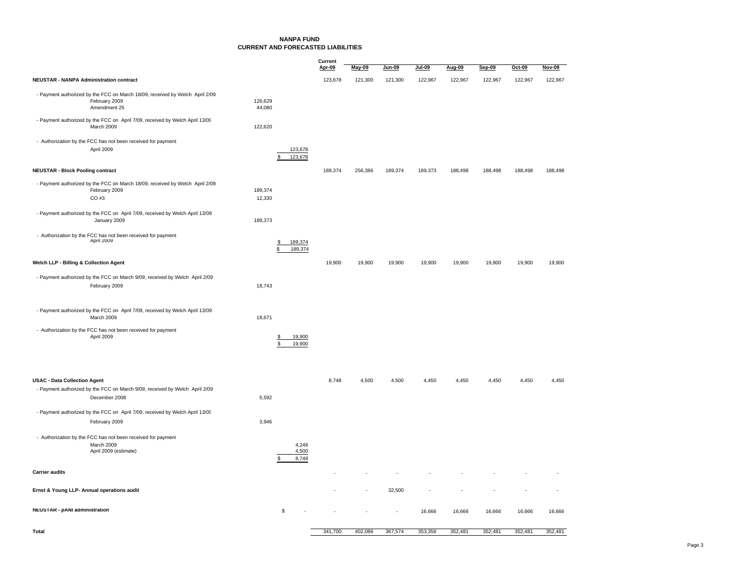### **NANPA FUNDCURRENT AND FORECASTED LIABILITIES**

|                                                                                                               |                               | Current<br>Apr-09 | May-09  | Jun-09  | <b>Jul-09</b> | Aug-09  | Sep-09  | Oct-09  | Nov-09  |
|---------------------------------------------------------------------------------------------------------------|-------------------------------|-------------------|---------|---------|---------------|---------|---------|---------|---------|
| <b>NEUSTAR - NANPA Administration contract</b>                                                                |                               | 123,678           | 121,300 | 121,300 | 122,967       | 122,967 | 122,967 | 122,967 | 122,967 |
|                                                                                                               |                               |                   |         |         |               |         |         |         |         |
| - Payment authorized by the FCC on March 18/09, received by Welch April 2/09<br>February 2009<br>Amendment 25 | 126,629<br>44,080             |                   |         |         |               |         |         |         |         |
| - Payment authorized by the FCC on April 7/09, received by Welch April 13/09<br>March 2009                    | 122,620                       |                   |         |         |               |         |         |         |         |
| - Authorization by the FCC has not been received for payment<br>April 2009                                    | 123,678<br>123,678<br>\$      |                   |         |         |               |         |         |         |         |
| <b>NEUSTAR - Block Pooling contract</b>                                                                       |                               | 189,374           | 256,386 | 189,374 | 189,373       | 188,498 | 188,498 | 188,498 | 188,498 |
| - Payment authorized by the FCC on March 18/09, received by Welch April 2/09<br>February 2009<br>$CO$ #3      | 189,374<br>12,330             |                   |         |         |               |         |         |         |         |
| - Payment authorized by the FCC on April 7/09, received by Welch April 13/09<br>January 2009                  | 189,373                       |                   |         |         |               |         |         |         |         |
| - Authorization by the FCC has not been received for payment<br><b>April 2009</b>                             | \$<br>189,374<br>S<br>189,374 |                   |         |         |               |         |         |         |         |
| Welch LLP - Billing & Collection Agent                                                                        |                               | 19,900            | 19,900  | 19,900  | 19,900        | 19,900  | 19,900  | 19,900  | 19,900  |
| - Payment authorized by the FCC on March 9/09, received by Welch April 2/09<br>February 2009                  | 18,743                        |                   |         |         |               |         |         |         |         |
| - Payment authorized by the FCC on April 7/09, received by Welch April 13/09<br>March 2009                    | 18,671                        |                   |         |         |               |         |         |         |         |
| - Authorization by the FCC has not been received for payment<br>April 2009                                    | 19,900<br>\$<br>19,900<br>\$  |                   |         |         |               |         |         |         |         |
| <b>USAC - Data Collection Agent</b>                                                                           |                               | 8,748             | 4,500   | 4,500   | 4,450         | 4,450   | 4,450   | 4,450   | 4,450   |
| - Payment authorized by the FCC on March 9/09, received by Welch April 2/09<br>December 2008                  | 5,592                         |                   |         |         |               |         |         |         |         |
| - Payment authorized by the FCC on April 7/09, received by Welch April 13/09<br>February 2009                 | 3,946                         |                   |         |         |               |         |         |         |         |
| - Authorization by the FCC has not been received for payment<br>March 2009<br>April 2009 (estimate)           | 4,248<br>4,500<br>8,748<br>S. |                   |         |         |               |         |         |         |         |
| <b>Carrier audits</b>                                                                                         |                               |                   |         |         |               |         |         |         |         |
| Ernst & Young LLP- Annual operations audit                                                                    |                               |                   |         | 32,500  |               |         |         |         |         |
| <b>NEUSTAR - pANI administration</b>                                                                          | \$                            |                   |         | ä,      | 16,666        | 16,666  | 16,666  | 16,666  | 16,666  |
| Total                                                                                                         |                               | 341,700           | 402,086 | 367,574 | 353,356       | 352,481 | 352,481 | 352,481 | 352,481 |